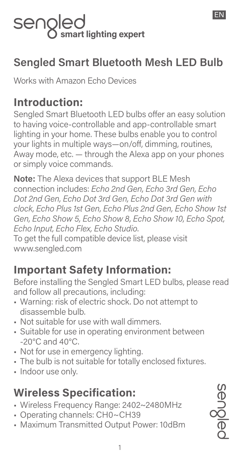

### **Sengled Smart Bluetooth Mesh LED Bulb**

Works with Amazon Echo Devices

#### **Introduction:**

Sengled Smart Bluetooth LED bulbs offer an easy solution to having voice-controllable and app-controllable smart lighting in your home. These bulbs enable you to control your lights in multiple ways—on/off, dimming, routines, Away mode, etc. — through the Alexa app on your phones or simply voice commands.

**Note:** The Alexa devices that support BLE Mesh connection includes: *Echo 2nd Gen, Echo 3rd Gen, Echo Dot 2nd Gen, Echo Dot 3rd Gen, Echo Dot 3rd Gen with clock, Echo Plus 1st Gen, Echo Plus 2nd Gen, Echo Show 1st Gen, Echo Show 5, Echo Show 8, Echo Show 10, Echo Spot, Echo Input, Echo Flex, Echo Studio*.

To get the full compatible device list, please visit www.sengled.com

### **Important Safety Information:**

Before installing the Sengled Smart LED bulbs, please read and follow all precautions, including:

- Warning: risk of electric shock. Do not attempt to disassemble bulb.
- Not suitable for use with wall dimmers.
- Suitable for use in operating environment between -20°C and 40°C.
- Not for use in emergency lighting.
- The bulb is not suitable for totally enclosed fixtures.
- Indoor use only.

### **Wireless Specification:**

- Wireless Frequency Range: 2402~2480MHz
- Operating channels: CH0~CH39
- Maximum Transmitted Output Power: 10dBm

EN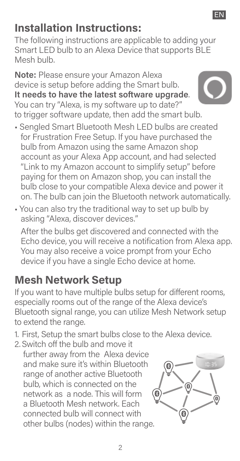### **Installation Instructions:**

The following instructions are applicable to adding your Smart LED bulb to an Alexa Device that supports BLE Mesh bulb.

**Note:** Please ensure your Amazon Alexa device is setup before adding the Smart bulb. **It needs to have the latest software upgrade**. You can try "Alexa, is my software up to date?" to trigger software update, then add the smart bulb.

- Sengled Smart Bluetooth Mesh LED bulbs are created for Frustration Free Setup. If you have purchased the bulb from Amazon using the same Amazon shop account as your Alexa App account, and had selected "Link to my Amazon account to simplify setup" before paying for them on Amazon shop, you can install the bulb close to your compatible Alexa device and power it on. The bulb can join the Bluetooth network automatically.
- You can also try the traditional way to set up bulb by asking "Alexa, discover devices."

After the bulbs get discovered and connected with the Echo device, you will receive a notification from Alexa app. You may also receive a voice prompt from your Echo device if you have a single Echo device at home.

### **Mesh Network Setup**

If you want to have multiple bulbs setup for different rooms, especially rooms out of the range of the Alexa device's Bluetooth signal range, you can utilize Mesh Network setup to extend the range.

- 1. First, Setup the smart bulbs close to the Alexa device.
- 2. Switch off the bulb and move it further away from the Alexa device and make sure it's within Bluetooth range of another active Bluetooth bulb, which is connected on the network as a node. This will form a Bluetooth Mesh network. Each connected bulb will connect with other bulbs (nodes) within the range.



a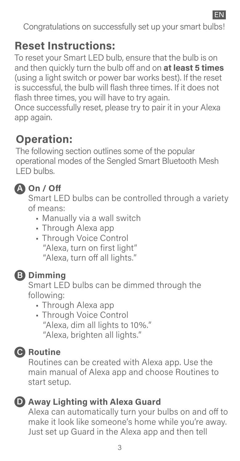Congratulations on successfully set up your smart bulbs!

EN

### **Reset Instructions:**

To reset your Smart LED bulb, ensure that the bulb is on and then quickly turn the bulb off and on **at least 5 times** (using a light switch or power bar works best). If the reset is successful, the bulb will flash three times. If it does not flash three times, you will have to try again.

Once successfully reset, please try to pair it in your Alexa app again.

### **Operation:**

The following section outlines some of the popular operational modes of the Sengled Smart Bluetooth Mesh LED bulbs.



#### **On / O A**

Smart LED bulbs can be controlled through a variety of means:

- Manually via a wall switch
- Through Alexa app

• Through Voice Control "Alexa, turn on first light" "Alexa, turn off all lights."

#### **Dimming B**

Smart LED bulbs can be dimmed through the following:

- Through Alexa app
- Through Voice Control "Alexa, dim all lights to 10%." "Alexa, brighten all lights."

#### **C** Routine

Routines can be created with Alexa app. Use the main manual of Alexa app and choose Routines to start setup.



#### **Away Lighting with Alexa Guard D**

Alexa can automatically turn your bulbs on and off to make it look like someone's home while you're away. Just set up Guard in the Alexa app and then tell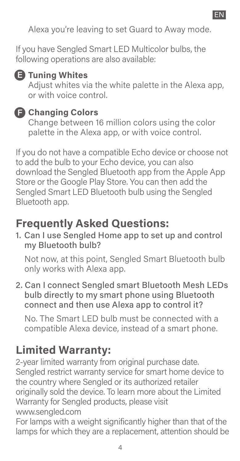Alexa you're leaving to set Guard to Away mode.

If you have Sengled Smart LED Multicolor bulbs, the following operations are also available:



#### **Tuning Whites E**

Adjust whites via the white palette in the Alexa app. or with voice control.

#### **Changing Colors F**

Change between 16 million colors using the color palette in the Alexa app, or with voice control.

If you do not have a compatible Echo device or choose not to add the bulb to your Echo device, you can also download the Sengled Bluetooth app from the Apple App Store or the Google Play Store. You can then add the Sengled Smart LED Bluetooth bulb using the Sengled Bluetooth app.

#### **Frequently Asked Questions:**

1. Can I use Sengled Home app to set up and control my Bluetooth bulb?

Not now, at this point, Sengled Smart Bluetooth bulb only works with Alexa app.

2. Can I connect Sengled smart Bluetooth Mesh LEDs bulb directly to my smart phone using Bluetooth connect and then use Alexa app to control it?

No. The Smart LED bulb must be connected with a compatible Alexa device, instead of a smart phone.

#### **Limited Warranty:**

2-year limited warranty from original purchase date. Sengled restrict warranty service for smart home device to the country where Sengled or its authorized retailer originally sold the device. To learn more about the Limited Warranty for Sengled products, please visit www.sengled.com

For lamps with a weight significantly higher than that of the lamps for which they are a replacement, attention should be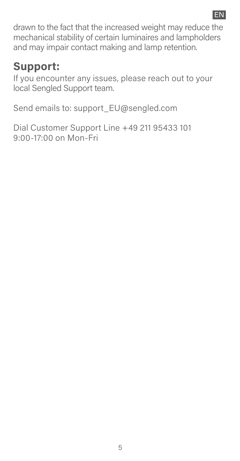EN

drawn to the fact that the increased weight may reduce the mechanical stability of certain luminaires and lampholders and may impair contact making and lamp retention.

### **Support:**

If you encounter any issues, please reach out to your local Sengled Support team.

Send emails to: support\_EU@sengled.com

Dial Customer Support Line +49 211 95433 101 9:00-17:00 on Mon-Fri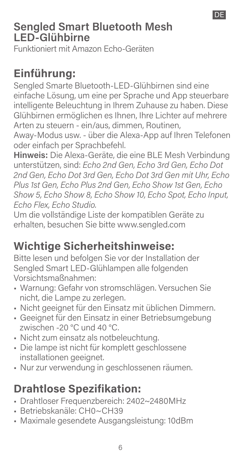#### **Sengled Smart Bluetooth Mesh LED-Glühbirne**

Funktioniert mit Amazon Echo-Geräten

### **Einführung:**

Sengled Smarte Bluetooth-LED-Glühbirnen sind eine einfache Lösung, um eine per Sprache und App steuerbare intelligente Beleuchtung in Ihrem Zuhause zu haben. Diese Glühbirnen ermöglichen es Ihnen, Ihre Lichter auf mehrere Arten zu steuern - ein/aus, dimmen, Routinen,

Away-Modus usw. - über die Alexa-App auf Ihren Telefonen oder einfach per Sprachbefehl.

**Hinweis:** Die Alexa-Geräte, die eine BLE Mesh Verbindung unterstützen, sind: *Echo 2nd Gen, Echo 3rd Gen, Echo Dot 2nd Gen, Echo Dot 3rd Gen, Echo Dot 3rd Gen mit Uhr, Echo Plus 1st Gen, Echo Plus 2nd Gen, Echo Show 1st Gen, Echo Show 5, Echo Show 8, Echo Show 10, Echo Spot, Echo Input, Echo Flex, Echo Studio.*

Um die vollständige Liste der kompatiblen Geräte zu erhalten, besuchen Sie bitte www.sengled.com

### **Wichtige Sicherheitshinweise:**

Bitte lesen und befolgen Sie vor der Installation der Sengled Smart LED-Glühlampen alle folgenden Vorsichtsmaßnahmen:

- Warnung: Gefahr von stromschlägen. Versuchen Sie nicht, die Lampe zu zerlegen.
- Nicht geeignet für den Einsatz mit üblichen Dimmern.
- Geeignet für den Einsatz in einer Betriebsumgebung zwischen -20 °C und 40 °C.
- Nicht zum einsatz als notbeleuchtung.
- Die lampe ist nicht für komplett geschlossene installationen geeignet.
- Nur zur verwendung in geschlossenen räumen.

### **Drahtlose Spezifikation:**

- Drahtloser Frequenzbereich: 2402~2480MHz
- Betriebskanäle: CH0~CH39
- Maximale gesendete Ausgangsleistung: 10dBm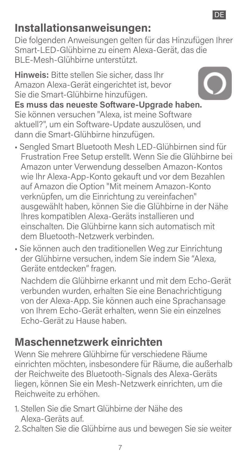#### DE

### **Installationsanweisungen:**

Die folgenden Anweisungen gelten für das Hinzufügen Ihrer Smart-LED-Glühbirne zu einem Alexa-Gerät, das die BLE-Mesh-Glühbirne unterstützt.

**Hinweis:** Bitte stellen Sie sicher, dass Ihr Amazon Alexa-Gerät eingerichtet ist, bevor Sie die Smart-Glühbirne hinzufügen.



**Es muss das neueste Software-Upgrade haben.** Sie können versuchen "Alexa, ist meine Software aktuell?", um ein Software-Update auszulösen, und dann die Smart-Glühbirne hinzufügen.

- Sengled Smart Bluetooth Mesh LED-Glühbirnen sind für Frustration Free Setup erstellt. Wenn Sie die Glühbirne bei Amazon unter Verwendung desselben Amazon-Kontos wie Ihr Alexa-App-Konto gekauft und vor dem Bezahlen auf Amazon die Option "Mit meinem Amazon-Konto verknüpfen, um die Einrichtung zu vereinfachen" ausgewählt haben, können Sie die Glühbirne in der Nähe Ihres kompatiblen Alexa-Geräts installieren und einschalten. Die Glühbirne kann sich automatisch mit dem Bluetooth-Netzwerk verbinden.
- Sie können auch den traditionellen Weg zur Einrichtung der Glühbirne versuchen, indem Sie indem Sie "Alexa, Geräte entdecken" fragen.

Nachdem die Glühbirne erkannt und mit dem Echo-Gerät verbunden wurden, erhalten Sie eine Benachrichtigung von der Alexa-App. Sie können auch eine Sprachansage von Ihrem Echo-Gerät erhalten, wenn Sie ein einzelnes Echo-Gerät zu Hause haben.

### **Maschennetzwerk einrichten**

Wenn Sie mehrere Glühbirne für verschiedene Räume einrichten möchten, insbesondere für Räume, die außerhalb der Reichweite des Bluetooth-Signals des Alexa-Geräts liegen, können Sie ein Mesh-Netzwerk einrichten, um die Reichweite zu erhöhen.

- 1. Stellen Sie die Smart Glühbirne der Nähe des Alexa-Geräts auf.
- 2. Schalten Sie die Glühbirne aus und bewegen Sie sie weiter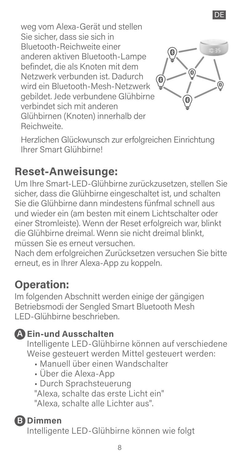

weg vom Alexa-Gerät und stellen Sie sicher, dass sie sich in Bluetooth-Reichweite einer anderen aktiven Bluetooth-Lampe befindet, die als Knoten mit dem Netzwerk verbunden ist. Dadurch wird ein Bluetooth-Mesh-Netzwerk gebildet. Jede verbundene Glühbirne verbindet sich mit anderen Glühbirnen (Knoten) innerhalb der Reichweite.



Herzlichen Glückwunsch zur erfolgreichen Einrichtung Ihrer Smart Glühbirne!

### **Reset-Anweisunge:**

Um Ihre Smart-LED-Glühbirne zurückzusetzen, stellen Sie sicher, dass die Glühbirne eingeschaltet ist, und schalten Sie die Glühbirne dann mindestens fünfmal schnell aus und wieder ein (am besten mit einem Lichtschalter oder einer Stromleiste). Wenn der Reset erfolgreich war, blinkt die Glühbirne dreimal. Wenn sie nicht dreimal blinkt, müssen Sie es erneut versuchen.

Nach dem erfolgreichen Zurücksetzen versuchen Sie bitte erneut, es in Ihrer Alexa-App zu koppeln.

#### **Operation:**

Im folgenden Abschnitt werden einige der gängigen Betriebsmodi der Sengled Smart Bluetooth Mesh LED-Glühbirne beschrieben.

#### **Ein-und Ausschalten A**

Intelligente LED-Glühbirne können auf verschiedene Weise gesteuert werden Mittel gesteuert werden:

- Manuell über einen Wandschalter
- Über die Alexa-App
- Durch Sprachsteuerung

"Alexa, schalte das erste Licht ein"

"Alexa, schalte alle Lichter aus".

#### **Dimmen B**

Intelligente LED-Glühbirne können wie folgt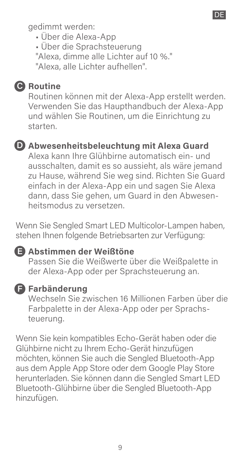gedimmt werden:

- Über die Alexa-App
- Über die Sprachsteuerung
- "Alexa, dimme alle Lichter auf 10 %."
- "Alexa, alle Lichter aufhellen".

#### **B** Routine

Routinen können mit der Alexa-App erstellt werden. Verwenden Sie das Haupthandbuch der Alexa-App und wählen Sie Routinen, um die Einrichtung zu starten.

**DE** 

#### **Abwesenheitsbeleuchtung mit Alexa Guard D**

Alexa kann Ihre Glühbirne automatisch ein- und ausschalten, damit es so aussieht, als wäre jemand zu Hause, während Sie weg sind. Richten Sie Guard einfach in der Alexa-App ein und sagen Sie Alexa dann, dass Sie gehen, um Guard in den Abwesenheitsmodus zu versetzen.

Wenn Sie Sengled Smart LED Multicolor-Lampen haben, stehen Ihnen folgende Betriebsarten zur Verfügung:

#### **Abstimmen der Weißtöne E**

Passen Sie die Weißwerte über die Weißpalette in der Alexa-App oder per Sprachsteuerung an.



#### **Farbänderung F**

Wechseln Sie zwischen 16 Millionen Farben über die Farbpalette in der Alexa-App oder per Sprachsteuerung.

Wenn Sie kein kompatibles Echo-Gerät haben oder die Glühbirne nicht zu Ihrem Echo-Gerät hinzufügen möchten, können Sie auch die Sengled Bluetooth-App aus dem Apple App Store oder dem Google Play Store herunterladen. Sie können dann die Sengled Smart LED Bluetooth-Glühbirne über die Sengled Bluetooth-App hinzufügen.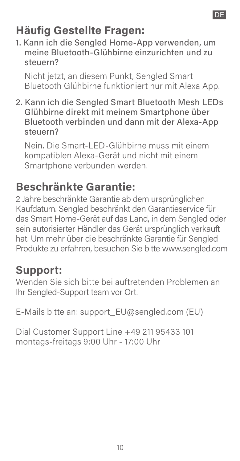### **Häufig Gestellte Fragen:**

1. Kann ich die Sengled Home-App verwenden, um meine Bluetooth-Glühbirne einzurichten und zu steuern?

Nicht jetzt, an diesem Punkt, Sengled Smart Bluetooth Glühbirne funktioniert nur mit Alexa App.

2. Kann ich die Sengled Smart Bluetooth Mesh LEDs Glühbirne direkt mit meinem Smartphone über Bluetooth verbinden und dann mit der Alexa-App steuern?

Nein. Die Smart-LED-Glühbirne muss mit einem kompatiblen Alexa-Gerät und nicht mit einem Smartphone verbunden werden.

#### **Beschränkte Garantie:**

2 Jahre beschränkte Garantie ab dem ursprünglichen Kaufdatum. Sengled beschränkt den Garantieservice für das Smart Home-Gerät auf das Land, in dem Sengled oder sein autorisierter Händler das Gerät ursprünglich verkauft hat. Um mehr über die beschränkte Garantie für Sengled Produkte zu erfahren, besuchen Sie bitte www.sengled.com

#### **Support:**

Wenden Sie sich bitte bei auftretenden Problemen an Ihr Sengled-Support team vor Ort.

E-Mails bitte an: support\_EU@sengled.com (EU)

Dial Customer Support Line +49 211 95433 101 montags-freitags 9:00 Uhr - 17:00 Uhr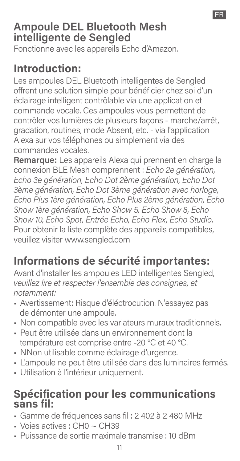#### **Ampoule DEL Bluetooth Mesh intelligente de Sengled**

Fonctionne avec les appareils Echo d'Amazon.

#### **Introduction:**

Les ampoules DEL Bluetooth intelligentes de Sengled offrent une solution simple pour bénéficier chez soi d'un éclairage intelligent contrôlable via une application et commande vocale. Ces ampoules vous permettent de contrôler vos lumières de plusieurs façons - marche/arrêt, gradation, routines, mode Absent, etc. - via l'application Alexa sur vos téléphones ou simplement via des commandes vocales.

**Remarque:** Les appareils Alexa qui prennent en charge la connexion BLE Mesh comprennent : *Echo 2e génération, Echo 3e génération, Echo Dot 2ème génération, Echo Dot 3ème génération, Echo Dot 3ème génération avec horloge, Echo Plus 1ère génération, Echo Plus 2ème génération, Echo Show 1ère génération, Echo Show 5, Echo Show 8, Echo Show 10, Echo Spot, Entrée Echo, Echo Flex, Echo Studio.* Pour obtenir la liste complète des appareils compatibles, veuillez visiter www.sengled.com

### **Informations de sécurité importantes:**

Avant d'installer les ampoules LED intelligentes Sengled, *veuillez lire et respecter l'ensemble des consignes, et notamment:*

- Avertissement: Risque d'éléctrocution. N'essayez pas de démonter une ampoule.
- Non compatible avec les variateurs muraux traditionnels.
- Peut être utilisée dans un environnement dont la température est comprise entre -20 °C et 40 °C.
- NNon utilisable comme éclairage d'urgence.
- L'ampoule ne peut être utilisée dans des luminaires fermés.
- Utilisation à l'intérieur uniquement.

#### **Spécification pour les communications sans fil:**

- Gamme de fréquences sans fil : 2 402 à 2 480 MHz
- Voies actives : CH0 ~ CH39
- Puissance de sortie maximale transmise : 10 dBm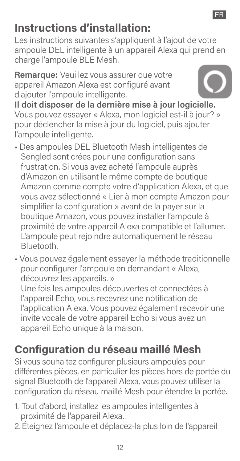### **Instructions d'installation:**

Les instructions suivantes s'appliquent à l'ajout de votre ampoule DEL intelligente à un appareil Alexa qui prend en charge l'ampoule BLE Mesh.

**Remarque:** Veuillez vous assurer que votre appareil Amazon Alexa est configuré avant d'ajouter l'ampoule intelligente.



**Il doit disposer de la dernière mise à jour logicielle.** Vous pouvez essayer « Alexa, mon logiciel est-il à jour? » pour déclencher la mise à jour du logiciel, puis ajouter l'ampoule intelligente.

- Des ampoules DEL Bluetooth Mesh intelligentes de Sengled sont crées pour une configuration sans frustration. Si vous avez acheté l'ampoule auprès d'Amazon en utilisant le même compte de boutique Amazon comme compte votre d'application Alexa, et que vous avez sélectionné « Lier à mon compte Amazon pour simplifier la configuration » avant de la payer sur la boutique Amazon, vous pouvez installer l'ampoule à proximité de votre appareil Alexa compatible et l'allumer. L'ampoule peut rejoindre automatiquement le réseau Bluetooth.
- Vous pouvez également essayer la méthode traditionnelle pour configurer l'ampoule en demandant « Alexa, découvrez les appareils. »

Une fois les ampoules découvertes et connectées à l'appareil Echo, vous recevrez une notification de l'application Alexa. Vous pouvez également recevoir une invite vocale de votre appareil Echo si vous avez un appareil Echo unique à la maison.

### **Configuration du réseau maillé Mesh**

Si vous souhaitez configurer plusieurs ampoules pour diérentes pièces, en particulier les pièces hors de portée du signal Bluetooth de l'appareil Alexa, vous pouvez utiliser la configuration du réseau maillé Mesh pour étendre la portée.

- 1. Tout d'abord, installez les ampoules intelligentes à proximité de l'appareil Alexa..
- 2. Éteignez l'ampoule et déplacez-la plus loin de l'appareil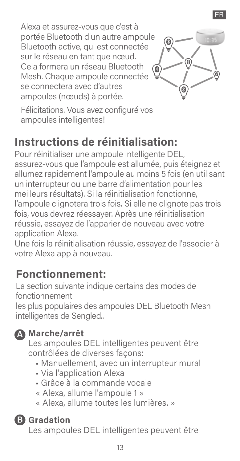Alexa et assurez-vous que c'est à portée Bluetooth d'un autre ampoule Bluetooth active, qui est connectée sur le réseau en tant que nœud. Cela formera un réseau Bluetooth Mesh. Chaque ampoule connectée se connectera avec d'autres ampoules (nœuds) à portée.



FR

Félicitations. Vous avez configuré vos ampoules intelligentes!

### **Instructions de réinitialisation:**

Pour réinitialiser une ampoule intelligente DEL, assurez-vous que l'ampoule est allumée, puis éteignez et allumez rapidement l'ampoule au moins 5 fois (en utilisant un interrupteur ou une barre d'alimentation pour les meilleurs résultats). Si la réinitialisation fonctionne, l'ampoule clignotera trois fois. Si elle ne clignote pas trois fois, vous devrez réessayer. Après une réinitialisation réussie, essayez de l'apparier de nouveau avec votre application Alexa.

Une fois la réinitialisation réussie, essayez de l'associer à votre Alexa app à nouveau.

#### **Fonctionnement:**

La section suivante indique certains des modes de fonctionnement

les plus populaires des ampoules DEL Bluetooth Mesh intelligentes de Sengled..

#### **Marche/arrêt A**

Les ampoules DEL intelligentes peuvent être contrôlées de diverses façons:

- Manuellement, avec un interrupteur mural
- Via l'application Alexa
- Grâce à la commande vocale
- « Alexa, allume l'ampoule 1 »
- « Alexa, allume toutes les lumières. »

#### **Gradation B**

Les ampoules DEL intelligentes peuvent être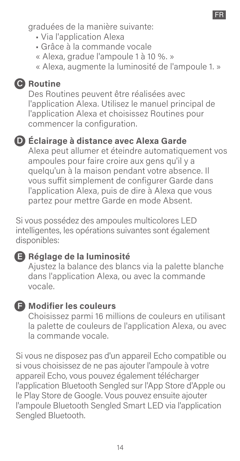graduées de la manière suivante:

- Via l'application Alexa
- Grâce à la commande vocale
- « Alexa, gradue l'ampoule 1 à 10 %. »
- « Alexa, augmente la luminosité de l'ampoule 1. »

FR

#### **P** Routine

Des Routines peuvent être réalisées avec l'application Alexa. Utilisez le manuel principal de l'application Alexa et choisissez Routines pour commencer la configuration.

#### **Éclairage à distance avec Alexa Garde D**

Alexa peut allumer et éteindre automatiquement vos ampoules pour faire croire aux gens qu'il y a quelqu'un à la maison pendant votre absence. Il vous suffit simplement de configurer Garde dans l'application Alexa, puis de dire à Alexa que vous partez pour mettre Garde en mode Absent.

Si vous possédez des ampoules multicolores LED intelligentes, les opérations suivantes sont également disponibles:

#### **Réglage de la luminosité E**

Ajustez la balance des blancs via la palette blanche dans l'application Alexa, ou avec la commande vocale.

#### **F** Modifier les couleurs

Choisissez parmi 16 millions de couleurs en utilisant la palette de couleurs de l'application Alexa, ou avec la commande vocale.

Si vous ne disposez pas d'un appareil Echo compatible ou si vous choisissez de ne pas ajouter l'ampoule à votre appareil Echo, vous pouvez également télécharger l'application Bluetooth Sengled sur l'App Store d'Apple ou le Play Store de Google. Vous pouvez ensuite ajouter l'ampoule Bluetooth Sengled Smart LED via l'application Sengled Bluetooth.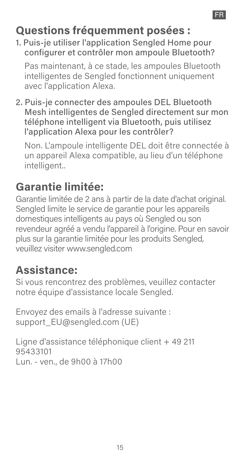### **Questions fréquemment posées :**

1. Puis-je utiliser l'application Sengled Home pour configurer et contrôler mon ampoule Bluetooth?

Pas maintenant, à ce stade, les ampoules Bluetooth intelligentes de Sengled fonctionnent uniquement avec l'application Alexa.

2. Puis-je connecter des ampoules DEL Bluetooth Mesh intelligentes de Sengled directement sur mon téléphone intelligent via Bluetooth, puis utilisez l'application Alexa pour les contrôler?

Non. L'ampoule intelligente DEL doit être connectée à un appareil Alexa compatible, au lieu d'un téléphone intelligent..

#### **Garantie limitée:**

Garantie limitée de 2 ans à partir de la date d'achat original. Sengled limite le service de garantie pour les appareils domestiques intelligents au pays où Sengled ou son revendeur agréé a vendu l'appareil à l'origine. Pour en savoir plus sur la garantie limitée pour les produits Sengled, veuillez visiter www.sengled.com

#### **Assistance:**

Si vous rencontrez des problèmes, veuillez contacter notre équipe d'assistance locale Sengled.

Envoyez des emails à l'adresse suivante : support\_EU@sengled.com (UE)

Ligne d'assistance téléphonique client + 49 211 95433101 Lun. - ven., de 9h00 à 17h00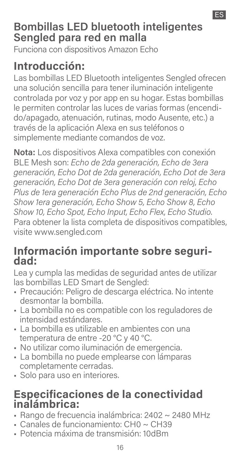

#### **Bombillas LED bluetooth inteligentes Sengled para red en malla**

Funciona con dispositivos Amazon Echo

### **Introducción:**

Las bombillas LED Bluetooth inteligentes Sengled ofrecen una solución sencilla para tener iluminación inteligente controlada por voz y por app en su hogar. Estas bombillas le permiten controlar las luces de varias formas (encendido/apagado, atenuación, rutinas, modo Ausente, etc.) a través de la aplicación Alexa en sus teléfonos o simplemente mediante comandos de voz.

**Nota:** Los dispositivos Alexa compatibles con conexión BLE Mesh son: *Echo de 2da generación, Echo de 3era generación, Echo Dot de 2da generación, Echo Dot de 3era generación, Echo Dot de 3era generación con reloj, Echo Plus de 1era generación Echo Plus de 2nd generación, Echo Show 1era generación, Echo Show 5, Echo Show 8, Echo Show 10, Echo Spot, Echo Input, Echo Flex, Echo Studio*. Para obtener la lista completa de dispositivos compatibles, visite www.sengled.com

# **Información importante sobre seguri- dad:**

Lea y cumpla las medidas de seguridad antes de utilizar las bombillas LED Smart de Sengled:

- Precaución: Peligro de descarga eléctrica. No intente desmontar la bombilla.
- La bombilla no es compatible con los reguladores de intensidad estándares.
- La bombilla es utilizable en ambientes con una temperatura de entre -20 °C y 40 °C.
- No utilizar como iluminación de emergencia.
- La bombilla no puede emplearse con lámparas completamente cerradas.
- Solo para uso en interiores.

#### **Especificaciones de la conectividad inalámbrica:**

- Rango de frecuencia inalámbrica: 2402 ~ 2480 MHz
- Canales de funcionamiento: CH0 ~ CH39
- Potencia máxima de transmisión: 10dBm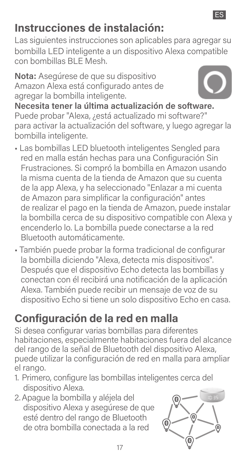### **Instrucciones de instalación:**

Las siguientes instrucciones son aplicables para agregar su bombilla LED inteligente a un dispositivo Alexa compatible con bombillas BLE Mesh.

**Nota:** Asegúrese de que su dispositivo Amazon Alexa está configurado antes de agregar la bombilla inteligente.



ES

**Necesita tener la última actualización de software.** Puede probar "Alexa, ¿está actualizado mi software?" para activar la actualización del software, y luego agregar la bombilla inteligente.

- Las bombillas LED bluetooth inteligentes Sengled para red en malla están hechas para una Configuración Sin Frustraciones. Si compró la bombilla en Amazon usando la misma cuenta de la tienda de Amazon que su cuenta de la app Alexa, y ha seleccionado "Enlazar a mi cuenta de Amazon para simplificar la configuración" antes de realizar el pago en la tienda de Amazon, puede instalar la bombilla cerca de su dispositivo compatible con Alexa y encenderlo lo. La bombilla puede conectarse a la red Bluetooth automáticamente.
- También puede probar la forma tradicional de configurar la bombilla diciendo "Alexa, detecta mis dispositivos". Después que el dispositivo Echo detecta las bombillas y conectan con él recibirá una notificación de la aplicación Alexa. También puede recibir un mensaje de voz de su dispositivo Echo si tiene un solo dispositivo Echo en casa.

### **Configuración de la red en malla**

Si desea configurar varias bombillas para diferentes habitaciones, especialmente habitaciones fuera del alcance del rango de la señal de Bluetooth del dispositivo Alexa, puede utilizar la configuración de red en malla para ampliar el rango.

- 1. Primero, configure las bombillas inteligentes cerca del dispositivo Alexa.
- 2. Apague la bombilla y aléjela del dispositivo Alexa y asegúrese de que esté dentro del rango de Bluetooth de otra bombilla conectada a la red

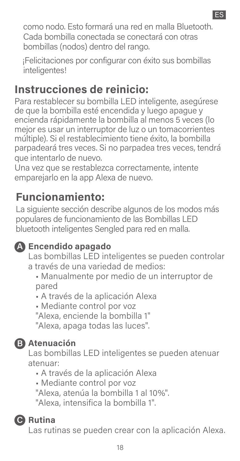

como nodo. Esto formará una red en malla Bluetooth. Cada bombilla conectada se conectará con otras bombillas (nodos) dentro del rango.

 ¡Felicitaciones por configurar con éxito sus bombillas inteligentes!

#### **Instrucciones de reinicio:**

Para restablecer su bombilla LED inteligente, asegúrese de que la bombilla esté encendida y luego apague y encienda rápidamente la bombilla al menos 5 veces (lo mejor es usar un interruptor de luz o un tomacorrientes múltiple). Si el restablecimiento tiene éxito, la bombilla parpadeará tres veces. Si no parpadea tres veces, tendrá que intentarlo de nuevo.

Una vez que se restablezca correctamente, intente emparejarlo en la app Alexa de nuevo.

#### **Funcionamiento:**

La siguiente sección describe algunos de los modos más populares de funcionamiento de las Bombillas LED bluetooth inteligentes Sengled para red en malla.

#### **Encendido apagado A**

Las bombillas LED inteligentes se pueden controlar a través de una variedad de medios:

- Manualmente por medio de un interruptor de pared
- A través de la aplicación Alexa
- Mediante control por voz
- "Alexa, enciende la bombilla 1"

"Alexa, apaga todas las luces".

#### **Atenuación B**

Las bombillas LED inteligentes se pueden atenuar atenuar:

- A través de la aplicación Alexa
- Mediante control por voz
- "Alexa, atenúa la bombilla 1 al 10%".

"Alexa, intensifica la bombilla 1".

#### **Rutina C**

Las rutinas se pueden crear con la aplicación Alexa.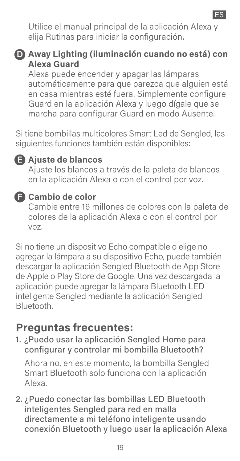Utilice el manual principal de la aplicación Alexa y elija Rutinas para iniciar la configuración.



#### **Away Lighting (iluminación cuando no está) con D Alexa Guard**

Alexa puede encender y apagar las lámparas automáticamente para que parezca que alguien está en casa mientras esté fuera. Simplemente configure Guard en la aplicación Alexa y luego dígale que se marcha para configurar Guard en modo Ausente.

Si tiene bombillas multicolores Smart Led de Sengled, las siguientes funciones también están disponibles:

#### **Ajuste de blancos E**

Ajuste los blancos a través de la paleta de blancos en la aplicación Alexa o con el control por voz.

#### **Cambio de color F**

Cambie entre 16 millones de colores con la paleta de colores de la aplicación Alexa o con el control por voz.

Si no tiene un dispositivo Echo compatible o elige no agregar la lámpara a su dispositivo Echo, puede también descargar la aplicación Sengled Bluetooth de App Store de Apple o Play Store de Google. Una vez descargada la aplicación puede agregar la lámpara Bluetooth LED inteligente Sengled mediante la aplicación Sengled Bluetooth.

#### **Preguntas frecuentes:**

1. ¿Puedo usar la aplicación Sengled Home para configurar y controlar mi bombilla Bluetooth?

Ahora no, en este momento, la bombilla Sengled Smart Bluetooth solo funciona con la aplicación Alexa.

2. ¿Puedo conectar las bombillas LED Bluetooth inteligentes Sengled para red en malla directamente a mi teléfono inteligente usando conexión Bluetooth y luego usar la aplicación Alexa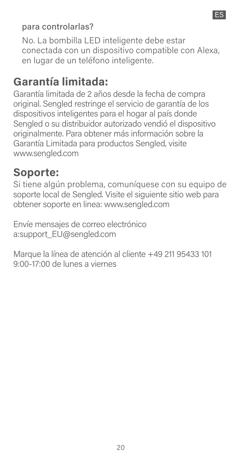#### para controlarlas?

No. La bombilla LED inteligente debe estar conectada con un dispositivo compatible con Alexa, en lugar de un teléfono inteligente.

ES

### **Garantía limitada:**

Garantía limitada de 2 años desde la fecha de compra original. Sengled restringe el servicio de garantía de los dispositivos inteligentes para el hogar al país donde Sengled o su distribuidor autorizado vendió el dispositivo originalmente. Para obtener más información sobre la Garantía Limitada para productos Sengled, visite www.sengled.com

#### **Soporte:**

Si tiene algún problema, comuníquese con su equipo de soporte local de Sengled. Visite el siguiente sitio web para obtener soporte en linea: www.sengled.com

Envíe mensajes de correo electrónico a:support\_EU@sengled.com

Marque la línea de atención al cliente +49 211 95433 101 9:00-17:00 de lunes a viernes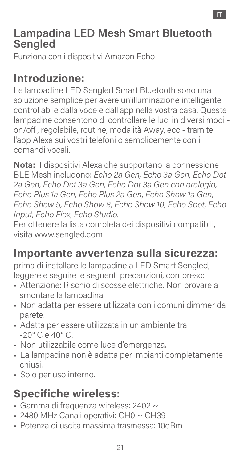### **Lampadina LED Mesh Smart Bluetooth Sengled**

Funziona con i dispositivi Amazon Echo

### **Introduzione:**

Le lampadine LED Sengled Smart Bluetooth sono una soluzione semplice per avere un'illuminazione intelligente controllabile dalla voce e dall'app nella vostra casa. Queste lampadine consentono di controllare le luci in diversi modi on/off, regolabile, routine, modalità Away, ecc - tramite l'app Alexa sui vostri telefoni o semplicemente con i comandi vocali.

**Nota:** I dispositivi Alexa che supportano la connessione BLE Mesh includono: *Echo 2a Gen, Echo 3a Gen, Echo Dot 2a Gen, Echo Dot 3a Gen, Echo Dot 3a Gen con orologio, Echo Plus 1a Gen, Echo Plus 2a Gen, Echo Show 1a Gen, Echo Show 5, Echo Show 8, Echo Show 10, Echo Spot, Echo Input, Echo Flex, Echo Studio.*

Per ottenere la lista completa dei dispositivi compatibili, visita www.sengled.com

### **Importante avvertenza sulla sicurezza:**

prima di installare le lampadine a LED Smart Sengled, leggere e seguire le seguenti precauzioni, compreso:

- Attenzione: Rischio di scosse elettriche. Non provare a smontare la lampadina.
- Non adatta per essere utilizzata con i comuni dimmer da parete.
- Adatta per essere utilizzata in un ambiente tra -20° C e 40° C.
- Non utilizzabile come luce d'emergenza.
- La lampadina non è adatta per impianti completamente chiusi.
- Solo per uso interno.

### **Specifiche wireless:**

- Gamma di frequenza wireless: 2402 ~
- 2480 MHz Canali operativi: CH0 ~ CH39
- Potenza di uscita massima trasmessa: 10dBm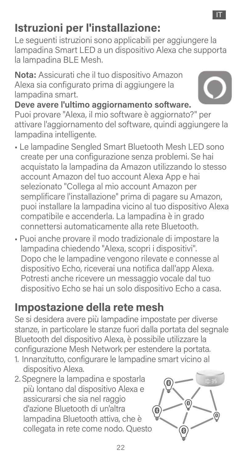### **Istruzioni per l'installazione:**

Le seguenti istruzioni sono applicabili per aggiungere la lampadina Smart LED a un dispositivo Alexa che supporta la lampadina BLE Mesh.

**Nota:** Assicurati che il tuo dispositivo Amazon Alexa sia configurato prima di aggiungere la lampadina smart.

**Deve avere l'ultimo aggiornamento software.** Puoi provare "Alexa, il mio software è aggiornato?" per attivare l'aggiornamento del software, quindi aggiungere la lampadina intelligente.

- Le lampadine Sengled Smart Bluetooth Mesh LED sono create per una configurazione senza problemi. Se hai acquistato la lampadina da Amazon utilizzando lo stesso account Amazon del tuo account Alexa App e hai selezionato "Collega al mio account Amazon per semplificare l'installazione" prima di pagare su Amazon, puoi installare la lampadina vicino al tuo dispositivo Alexa compatibile e accenderla. La lampadina è in grado connettersi automaticamente alla rete Bluetooth.
- Puoi anche provare il modo tradizionale di impostare la lampadina chiedendo "Alexa, scopri i dispositivi". Dopo che le lampadine vengono rilevate e connesse al dispositivo Echo, riceverai una notifica dall'app Alexa. Potresti anche ricevere un messaggio vocale dal tuo dispositivo Echo se hai un solo dispositivo Echo a casa.

### **Impostazione della rete mesh**

Se si desidera avere più lampadine impostate per diverse stanze, in particolare le stanze fuori dalla portata del segnale Bluetooth del dispositivo Alexa, è possibile utilizzare la configurazione Mesh Network per estendere la portata.

- 1. Innanzitutto, configurare le lampadine smart vicino al dispositivo Alexa.
- 2. Spegnere la lampadina e spostarla più lontano dal dispositivo Alexa e assicurarsi che sia nel raggio d'azione Bluetooth di un'altra lampadina Bluetooth attiva, che è collegata in rete come nodo. Questo



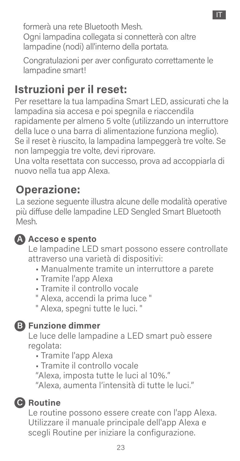formerà una rete Bluetooth Mesh. Ogni lampadina collegata si connetterà con altre lampadine (nodi) all'interno della portata.

Congratulazioni per aver configurato correttamente le lampadine smart!

IT

### **Istruzioni per il reset:**

Per resettare la tua lampadina Smart LED, assicurati che la lampadina sia accesa e poi spegnila e riaccendila rapidamente per almeno 5 volte (utilizzando un interruttore della luce o una barra di alimentazione funziona meglio). Se il reset è riuscito, la lampadina lampeggerà tre volte. Se non lampeggia tre volte, devi riprovare.

Una volta resettata con successo, prova ad accoppiarla di nuovo nella tua app Alexa.

#### **Operazione:**

La sezione seguente illustra alcune delle modalità operative più diffuse delle lampadine LED Sengled Smart Bluetooth Mesh.

#### **Acceso e spento A**

Le lampadine LED smart possono essere controllate attraverso una varietà di dispositivi:

- Manualmente tramite un interruttore a parete
- Tramite l'app Alexa
- Tramite il controllo vocale
- " Alexa, accendi la prima luce "
- " Alexa, spegni tutte le luci. "

#### **Funzione dimmer B**

Le luce delle lampadine a LED smart può essere regolata:

- Tramite l'app Alexa
- Tramite il controllo vocale

"Alexa, imposta tutte le luci al 10%."

"Alexa, aumenta l'intensità di tutte le luci."

#### **B** Routine

Le routine possono essere create con l'app Alexa. Utilizzare il manuale principale dell'app Alexa e scegli Routine per iniziare la configurazione.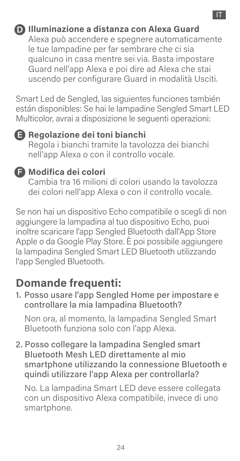#### **Illuminazione a distanza con Alexa Guard D**

Alexa può accendere e spegnere automaticamente le tue lampadine per far sembrare che ci sia qualcuno in casa mentre sei via. Basta impostare Guard nell'app Alexa e poi dire ad Alexa che stai uscendo per configurare Guard in modalità Usciti.

Smart Led de Sengled, las siguientes funciones también están disponibles: Se hai le lampadine Sengled Smart LED Multicolor, avrai a disposizione le seguenti operazioni:

#### **Regolazione dei toni bianchi E**

Regola i bianchi tramite la tavolozza dei bianchi nell'app Alexa o con il controllo vocale.

#### **Modifica dei colori F**

Cambia tra 16 milioni di colori usando la tavolozza dei colori nell'app Alexa o con il controllo vocale.

Se non hai un dispositivo Echo compatibile o scegli di non aggiungere la lampadina al tuo dispositivo Echo, puoi inoltre scaricare l'app Sengled Bluetooth dall'App Store Apple o da Google Play Store. È poi possibile aggiungere la lampadina Sengled Smart LED Bluetooth utilizzando l'app Sengled Bluetooth.

#### **Domande frequenti:**

1. Posso usare l'app Sengled Home per impostare e controllare la mia lampadina Bluetooth?

Non ora, al momento, la lampadina Sengled Smart Bluetooth funziona solo con l'app Alexa.

2. Posso collegare la lampadina Sengled smart Bluetooth Mesh LED direttamente al mio smartphone utilizzando la connessione Bluetooth e quindi utilizzare l'app Alexa per controllarla?

No. La lampadina Smart LED deve essere collegata con un dispositivo Alexa compatibile, invece di uno smartphone.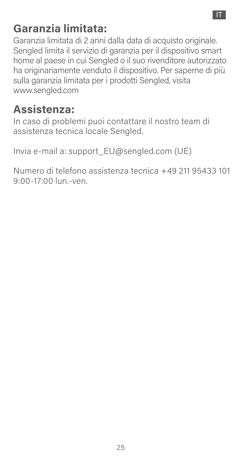### **Garanzia limitata:**

Garanzia limitata di 2 anni dalla data di acquisto originale. Sengled limita il servizio di garanzia per il dispositivo smart home al paese in cui Sengled o il suo rivenditore autorizzato ha originariamente venduto il dispositivo. Per saperne di più sulla garanzia limitata per i prodotti Sengled, visita www.sengled.com

#### **Assistenza:**

In caso di problemi puoi contattare il nostro team di assistenza tecnica locale Sengled.

```
Invia e-mail a: support_EU@sengled.com (UE)
```
Numero di telefono assistenza tecnica +49 211 95433 101 9:00-17:00 lun.-ven.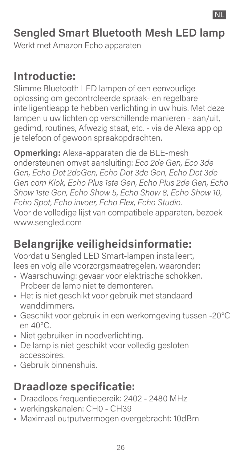### **Sengled Smart Bluetooth Mesh LED lamp**

Werkt met Amazon Echo apparaten

#### **Introductie:**

Slimme Bluetooth LED lampen of een eenvoudige oplossing om gecontroleerde spraak- en regelbare intelligentieapp te hebben verlichting in uw huis. Met deze lampen u uw lichten op verschillende manieren - aan/uit, gedimd, routines, Afwezig staat, etc. - via de Alexa app op je telefoon of gewoon spraakopdrachten.

**Opmerking:** Alexa-apparaten die de BLE-mesh ondersteunen omvat aansluiting: *Eco 2de Gen, Eco 3de Gen, Echo Dot 2deGen, Echo Dot 3de Gen, Echo Dot 3de Gen com Klok, Echo Plus 1ste Gen, Echo Plus 2de Gen, Echo Show 1ste Gen, Echo Show 5, Echo Show 8, Echo Show 10, Echo Spot, Echo invoer, Echo Flex, Echo Studio.* Voor de volledige lijst van compatibele apparaten, bezoek www.sengled.com

### **Belangrijke veiligheidsinformatie:**

Voordat u Sengled LED Smart-lampen installeert, lees en volg alle voorzorgsmaatregelen, waaronder:

- Waarschuwing: gevaar voor elektrische schokken. Probeer de lamp niet te demonteren.
- Het is niet geschikt voor gebruik met standaard wanddimmers.
- Geschikt voor gebruik in een werkomgeving tussen -20°C en 40°C.
- Niet gebruiken in noodverlichting.
- De lamp is niet geschikt voor volledig gesloten accessoires.
- Gebruik binnenshuis.

#### **Draadloze specificatie:**

- Draadloos frequentiebereik: 2402 2480 MHz
- werkingskanalen: CH0 CH39
- Maximaal outputvermogen overgebracht: 10dBm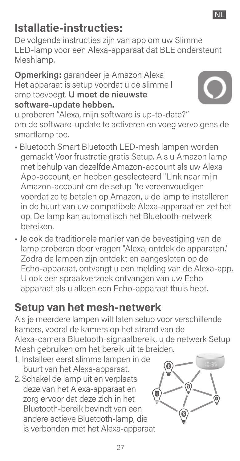### **Istallatie-instructies:**

De volgende instructies zijn van app om uw Slimme LED-lamp voor een Alexa-apparaat dat BLE ondersteunt Meshlamp.

#### **Opmerking:** garandeer je Amazon Alexa Het apparaat is setup voordat u de slimme l amp toevoegt. **U moet de nieuwste software-update hebben.**



u proberen "Alexa, mijn software is up-to-date?" om de software-update te activeren en voeg vervolgens de smartlamp toe.

- Bluetooth Smart Bluetooth LED-mesh lampen worden gemaakt Voor frustratie gratis Setup. Als u Amazon lamp met behulp van dezelfde Amazon-account als uw Alexa App-account, en hebben geselecteerd "Link naar mijn Amazon-account om de setup "te vereenvoudigen voordat ze te betalen op Amazon, u de lamp te installeren in de buurt van uw compatibele Alexa-apparaat en zet het op. De lamp kan automatisch het Bluetooth-netwerk bereiken.
- Je ook de traditionele manier van de bevestiging van de lamp proberen door vragen "Alexa, ontdek de apparaten." Zodra de lampen zijn ontdekt en aangesloten op de Echo-apparaat, ontvangt u een melding van de Alexa-app. U ook een spraakverzoek ontvangen van uw Echo apparaat als u alleen een Echo-apparaat thuis hebt.

### **Setup van het mesh-netwerk**

Als je meerdere lampen wilt laten setup voor verschillende kamers, vooral de kamers op het strand van de Alexa-camera Bluetooth-signaalbereik, u de netwerk Setup Mesh gebruiken om het bereik uit te breiden.

- 1. Installeer eerst slimme lampen in de buurt van het Alexa-apparaat.
- 2. Schakel de lamp uit en verplaats deze van het Alexa-apparaat en zorg ervoor dat deze zich in het Bluetooth-bereik bevindt van een andere actieve Bluetooth-lamp, die is verbonden met het Alexa-apparaat

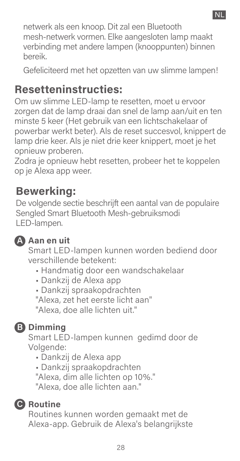netwerk als een knoop. Dit zal een Bluetooth mesh-netwerk vormen. Elke aangesloten lamp maakt verbinding met andere lampen (knooppunten) binnen bereik.

Gefeliciteerd met het opzetten van uw slimme lampen!

#### **Resetteninstructies:**

Om uw slimme LED-lamp te resetten, moet u ervoor zorgen dat de lamp draai dan snel de lamp aan/uit en ten minste 5 keer (Het gebruik van een lichtschakelaar of powerbar werkt beter). Als de reset succesvol, knippert de lamp drie keer. Als je niet drie keer knippert, moet je het opnieuw proberen.

Zodra je opnieuw hebt resetten, probeer het te koppelen op je Alexa app weer.

#### **Bewerking:**

De volgende sectie beschrijft een aantal van de populaire Sengled Smart Bluetooth Mesh-gebruiksmodi LED-lampen.



#### $\blacktriangle$  Aan en uit

Smart LED-lampen kunnen worden bediend door verschillende betekent:

- Handmatig door een wandschakelaar
- Dankzij de Alexa app
- Dankzij spraakopdrachten
- "Alexa, zet het eerste licht aan"
- "Alexa, doe alle lichten uit."



#### **Dimming B**

Smart LED-lampen kunnen gedimd door de Volgende:

- Dankzij de Alexa app
- Dankzij spraakopdrachten

"Alexa, dim alle lichten op 10%."

"Alexa, doe alle lichten aan."



#### **C** Routine

Routines kunnen worden gemaakt met de Alexa-app. Gebruik de Alexa's belangrijkste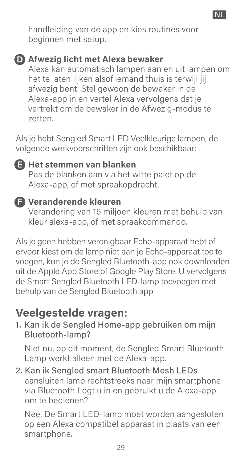handleiding van de app en kies routines voor beginnen met setup.

#### **Afwezig licht met Alexa bewaker D**

Alexa kan automatisch lampen aan en uit lampen om het te laten lijken alsof iemand thuis is terwijl jij afwezig bent. Stel gewoon de bewaker in de Alexa-app in en vertel Alexa vervolgens dat je vertrekt om de bewaker in de Afwezig-modus te zetten.

Als je hebt Sengled Smart LED Veelkleurige lampen, de volgende werkvoorschriften zijn ook beschikbaar:

#### **Het stemmen van blanken E**

Pas de blanken aan via het witte palet op de Alexa-app, of met spraakopdracht.

#### **Veranderende kleuren F**

Verandering van 16 miljoen kleuren met behulp van kleur alexa-app, of met spraakcommando.

Als je geen hebben verenigbaar Echo-apparaat hebt of ervoor kiest om de lamp niet aan je Echo-apparaat toe te voegen, kun je de Sengled Bluetooth-app ook downloaden uit de Apple App Store of Google Play Store. U vervolgens de Smart Sengled Bluetooth LED-lamp toevoegen met behulp van de Sengled Bluetooth app.

#### **Veelgestelde vragen:**

1. Kan ik de Sengled Home-app gebruiken om mijn Bluetooth-lamp?

Niet nu, op dit moment, de Sengled Smart Bluetooth Lamp werkt alleen met de Alexa-app.

2. Kan ik Sengled smart Bluetooth Mesh LEDs aansluiten lamp rechtstreeks naar mijn smartphone via Bluetooth Logt u in en gebruikt u de Alexa-app om te bedienen?

Nee, De Smart LED-lamp moet worden aangesloten op een Alexa compatibel apparaat in plaats van een smartphone.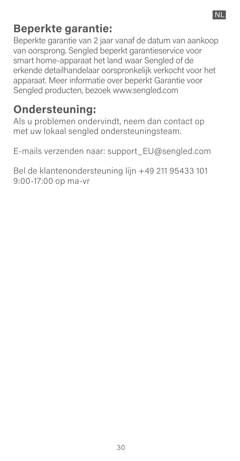#### **NL**

### **Beperkte garantie:**

Beperkte garantie van 2 jaar vanaf de datum van aankoop van oorsprong. Sengled beperkt garantieservice voor smart home-apparaat het land waar Sengled of de erkende detailhandelaar oorspronkelijk verkocht voor het apparaat. Meer informatie over beperkt Garantie voor Sengled producten, bezoek www.sengled.com

#### **Ondersteuning:**

Als u problemen ondervindt, neem dan contact op met uw lokaal sengled ondersteuningsteam.

E-mails verzenden naar: support\_EU@sengled.com

Bel de klantenondersteuning lijn +49 211 95433 101 9:00-17:00 op ma-vr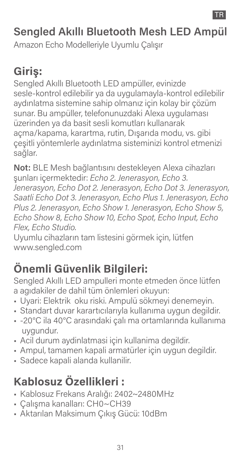### **Sengled Akıllı Bluetooth Mesh LED Ampül**

Amazon Echo Modelleriyle Uyumlu Çalışır

### **Giriş:**

Sengled Akıllı Bluetooth LED ampüller, evinizde sesle-kontrol edilebilir ya da uygulamayla-kontrol edilebilir aydınlatma sistemine sahip olmanız için kolay bir çözüm sunar. Bu ampüller, telefonunuzdaki Alexa uygulaması üzerinden ya da basit sesli komutları kullanarak açma/kapama, karartma, rutin, Dışarıda modu, vs. gibi çeşitli yöntemlerle aydınlatma sisteminizi kontrol etmenizi sağlar.

**Not:** BLE Mesh bağlantısını destekleyen Alexa cihazları şunları içermektedir: *Echo 2. Jenerasyon, Echo 3. Jenerasyon, Echo Dot 2. Jenerasyon, Echo Dot 3. Jenerasyon, Saatli Echo Dot 3. Jenerasyon, Echo Plus 1. Jenerasyon, Echo Plus 2. Jenerasyon, Echo Show 1. Jenerasyon, Echo Show 5, Echo Show 8, Echo Show 10, Echo Spot, Echo Input, Echo Flex, Echo Studio.* 

Uyumlu cihazların tam listesini görmek için, lütfen www.sengled.com

## **Önemli Güvenlik Bilgileri:**

Sengled Akıllı LED ampulleri monte etmeden önce lütfen a agıdakiler de dahil tüm önlemleri okuyun:

- Uyari: Elektrik oku riski. Ampulü sökmeyi denemeyin.
- Standart duvar karartıcılarıyla kullanıma uygun degildir.
- -20°C ila 40°C arasındaki çalı ma ortamlarında kullanıma uygundur.
- Acil durum aydinlatmasi için kullanima degildir.
- Ampul, tamamen kapali armatürler için uygun degildir.
- Sadece kapali alanda kullanilir.

## **Kablosuz Özellikleri :**

- Kablosuz Frekans Aralığı: 2402~2480MHz
- Çalışma kanalları: CH0~CH39
- Aktarılan Maksimum Çıkış Gücü: 10dBm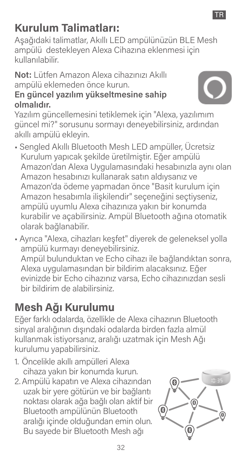#### TR

### **Kurulum Talimatları:**

Aşağıdaki talimatlar, Akıllı LED ampülünüzün BLE Mesh ampülü destekleyen Alexa Cihazına eklenmesi için kullanılabilir.

**Not:** Lütfen Amazon Alexa cihazınızı Akıllı ampülü eklemeden önce kurun.

#### **En güncel yazılım yükseltmesine sahip olmalıdır.**

Yazılım güncellemesini tetiklemek için "Alexa, yazılımım güncel mi?" sorusunu sormayı deneyebilirsiniz, ardından akıllı ampülü ekleyin.

- Sengled Akıllı Bluetooth Mesh LED ampüller, Ücretsiz Kurulum yapıcak şekilde üretilmiştir. Eğer ampülü Amazon'dan Alexa Uygulamasındaki hesabınızla aynı olan Amazon hesabınızı kullanarak satın aldıysanız ve Amazon'da ödeme yapmadan önce "Basit kurulum için Amazon hesabımla ilişkilendir" seçeneğini seçtiyseniz, ampülü uyumlu Alexa cihazınıza yakın bir konumda kurabilir ve açabilirsiniz. Ampül Bluetooth ağına otomatik olarak bağlanabilir.
- Ayrıca "Alexa, cihazları keşfet" diyerek de geleneksel yolla ampülü kurmayı deneyebilirsiniz. Ampül bulunduktan ve Echo cihazı ile bağlandıktan sonra,

Alexa uygulamasından bir bildirim alacaksınız. Eğer evinizde bir Echo cihazınız varsa, Echo cihazınızdan sesli bir bildirim de alabilirsiniz.

### **Mesh Ağı Kurulumu**

Eğer farklı odalarda, özellikle de Alexa cihazının Bluetooth sinyal aralığının dışındaki odalarda birden fazla almül kullanmak istiyorsanız, aralığı uzatmak için Mesh Ağı kurulumu yapabilirsiniz.

- 1. Öncelikle akıllı ampülleri Alexa cihaza yakın bir konumda kurun.
- 2. Ampülü kapatın ve Alexa cihazından uzak bir yere götürün ve bir bağlantı noktası olarak ağa bağlı olan aktif bir Bluetooth ampülünün Bluetooth aralığı içinde olduğundan emin olun. Bu sayede bir Bluetooth Mesh ağı

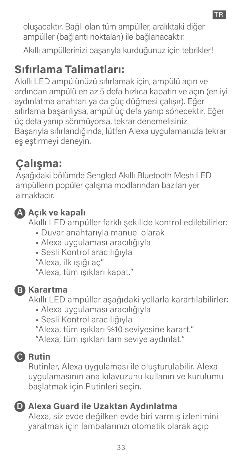oluşacaktır. Bağlı olan tüm ampüller, aralıktaki diğer ampüller (bağlantı noktaları) ile bağlanacaktır. Akıllı ampüllerinizi başarıyla kurduğunuz için tebrikler!

### **Sıfırlama Talimatları:**

Akıllı LED ampülünüzü sıfırlamak için, ampülü açın ve ardından ampülü en az 5 defa hızlıca kapatın ve açın (en iyi aydınlatma anahtarı ya da güç düğmesi çalışır). Eğer sıfırlama başarılıysa, ampül üç defa yanıp sönecektir. Eğer üç defa yanıp sönmüyorsa, tekrar denemelisiniz. Başarıyla sıfırlandığında, lütfen Alexa uygulamanızla tekrar eşleştirmeyi deneyin.

### **Çalışma:**

Aşağıdaki bölümde Sengled Akıllı Bluetooth Mesh LED ampüllerin popüler çalışma modlarından bazıları yer almaktadır.



#### **Açık ve kapalı A**

Akıllı LED ampüller farklı şekillde kontrol edilebilirler:

- Duvar anahtarıyla manuel olarak
- Alexa uygulaması aracılığıyla
- Sesli Kontrol aracılığıyla
- "Alexa, ilk ışığı aç"

"Alexa, tüm ışıkları kapat."



#### **Karartma B**

Akıllı LED ampüller aşağıdaki yollarla karartılabilirler:

- Alexa uygulaması aracılığıyla
- Sesli Kontrol aracılığıyla
- "Alexa, tüm ışıkları %10 seviyesine karart."
- "Alexa, tüm ışıkları tam seviye aydınlat."

#### **Rutin C**

Rutinler, Alexa uygulaması ile oluşturulabilir. Alexa uygulamasının ana kılavuzunu kullanın ve kurulumu başlatmak için Rutinleri seçin.

#### **Alexa Guard ile Uzaktan Aydınlatma D**

Alexa, siz evde değilken evde biri varmış izlenimini yaratmak için lambalarınızı otomatik olarak açıp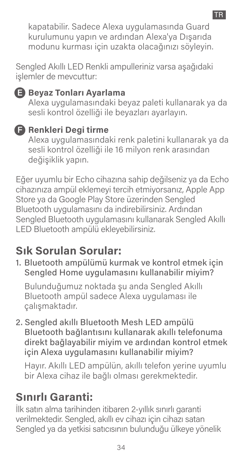kapatabilir. Sadece Alexa uygulamasında Guard kurulumunu yapın ve ardından Alexa'ya Dışarıda modunu kurması için uzakta olacağınızı söyleyin.

Sengled Akıllı LED Renkli ampulleriniz varsa aşağıdaki işlemler de mevcuttur:



#### **Beyaz Tonları Ayarlama E**

Alexa uygulamasındaki beyaz paleti kullanarak ya da sesli kontrol özelliği ile beyazları ayarlayın.

#### **Renkleri Degi tirme F**

Alexa uygulamasındaki renk paletini kullanarak ya da sesli kontrol özelliği ile 16 milyon renk arasından değişiklik yapın.

Eğer uyumlu bir Echo cihazına sahip değilseniz ya da Echo cihazınıza ampül eklemeyi tercih etmiyorsanız, Apple App Store ya da Google Play Store üzerinden Sengled Bluetooth uygulamasını da indirebilirsiniz. Ardından Sengled Bluetooth uygulamasını kullanarak Sengled Akıllı LED Bluetooth ampülü ekleyebilirsiniz.

#### **Sık Sorulan Sorular:**

1. Bluetooth ampülümü kurmak ve kontrol etmek için Sengled Home uygulamasını kullanabilir miyim?

Bulunduğumuz noktada şu anda Sengled Akıllı Bluetooth ampül sadece Alexa uygulaması ile çalışmaktadır.

2. Sengled akıllı Bluetooth Mesh LED ampülü Bluetooth bağlantısını kullanarak akıllı telefonuma direkt bağlayabilir miyim ve ardından kontrol etmek için Alexa uygulamasını kullanabilir miyim?

Hayır. Akıllı LED ampülün, akıllı telefon yerine uyumlu bir Alexa cihaz ile bağlı olması gerekmektedir.

#### **Sınırlı Garanti:**

İlk satın alma tarihinden itibaren 2-yıllık sınırlı garanti verilmektedir. Sengled, akıllı ev cihazı için cihazı satan Sengled ya da yetkisi satıcısının bulunduğu ülkeye yönelik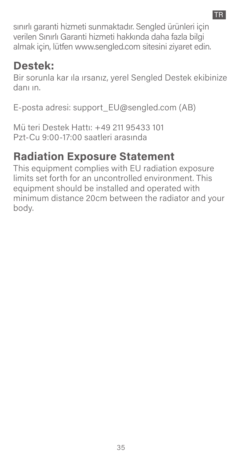sınırlı garanti hizmeti sunmaktadır. Sengled ürünleri için verilen Sınırlı Garanti hizmeti hakkında daha fazla bilgi almak için, lütfen www.sengled.com sitesini ziyaret edin.

### **Destek:**

Bir sorunla kar ıla ırsanız, yerel Sengled Destek ekibinize danı ın.

E-posta adresi: support\_EU@sengled.com (AB)

Mü teri Destek Hattı: +49 211 95433 101 Pzt-Cu 9:00-17:00 saatleri arasında

#### **Radiation Exposure Statement**

This equipment complies with EU radiation exposure limits set forth for an uncontrolled environment. This equipment should be installed and operated with minimum distance 20cm between the radiator and your body.